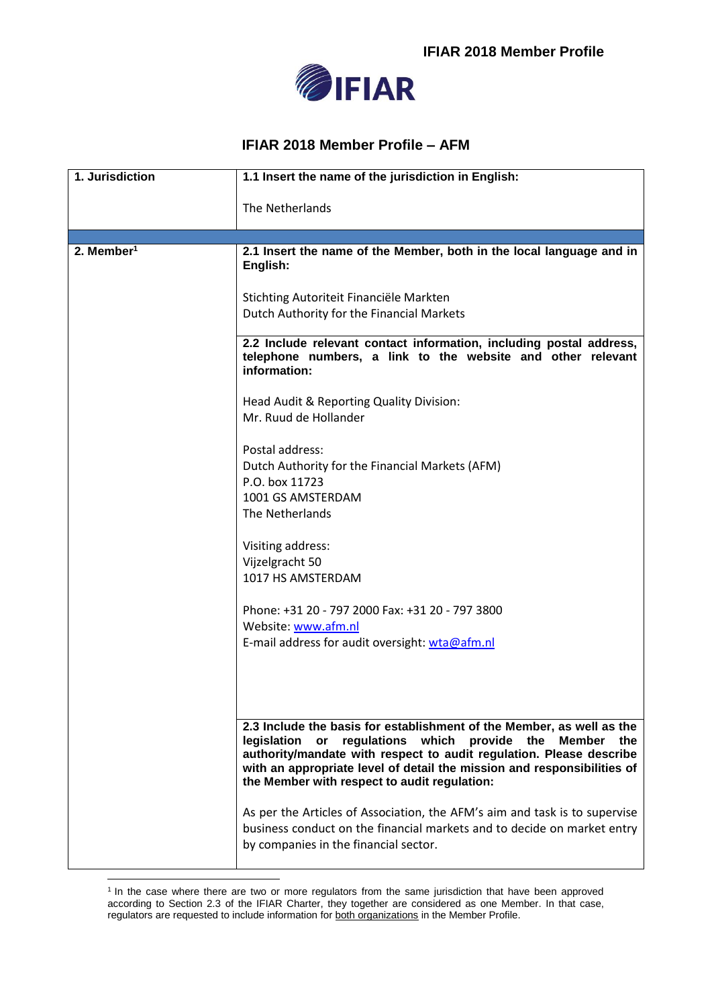

## **IFIAR 2018 Member Profile – AFM**

| 1. Jurisdiction        | 1.1 Insert the name of the jurisdiction in English:                                                                                                                                                                                                                                                                                         |
|------------------------|---------------------------------------------------------------------------------------------------------------------------------------------------------------------------------------------------------------------------------------------------------------------------------------------------------------------------------------------|
|                        | The Netherlands                                                                                                                                                                                                                                                                                                                             |
|                        |                                                                                                                                                                                                                                                                                                                                             |
| 2. Member <sup>1</sup> | 2.1 Insert the name of the Member, both in the local language and in<br>English:                                                                                                                                                                                                                                                            |
|                        | Stichting Autoriteit Financiële Markten<br>Dutch Authority for the Financial Markets                                                                                                                                                                                                                                                        |
|                        | 2.2 Include relevant contact information, including postal address,<br>telephone numbers, a link to the website and other relevant<br>information:                                                                                                                                                                                          |
|                        | Head Audit & Reporting Quality Division:<br>Mr. Ruud de Hollander                                                                                                                                                                                                                                                                           |
|                        | Postal address:<br>Dutch Authority for the Financial Markets (AFM)<br>P.O. box 11723<br>1001 GS AMSTERDAM<br>The Netherlands                                                                                                                                                                                                                |
|                        | Visiting address:<br>Vijzelgracht 50<br>1017 HS AMSTERDAM                                                                                                                                                                                                                                                                                   |
|                        | Phone: +31 20 - 797 2000 Fax: +31 20 - 797 3800<br>Website: www.afm.nl<br>E-mail address for audit oversight: wta@afm.nl                                                                                                                                                                                                                    |
|                        | 2.3 Include the basis for establishment of the Member, as well as the<br>regulations which<br>legislation<br>provide the Member the<br>or<br>authority/mandate with respect to audit regulation. Please describe<br>with an appropriate level of detail the mission and responsibilities of<br>the Member with respect to audit regulation: |
|                        | As per the Articles of Association, the AFM's aim and task is to supervise<br>business conduct on the financial markets and to decide on market entry<br>by companies in the financial sector.                                                                                                                                              |

1

<sup>&</sup>lt;sup>1</sup> In the case where there are two or more regulators from the same jurisdiction that have been approved according to Section 2.3 of the IFIAR Charter, they together are considered as one Member. In that case, regulators are requested to include information for both organizations in the Member Profile.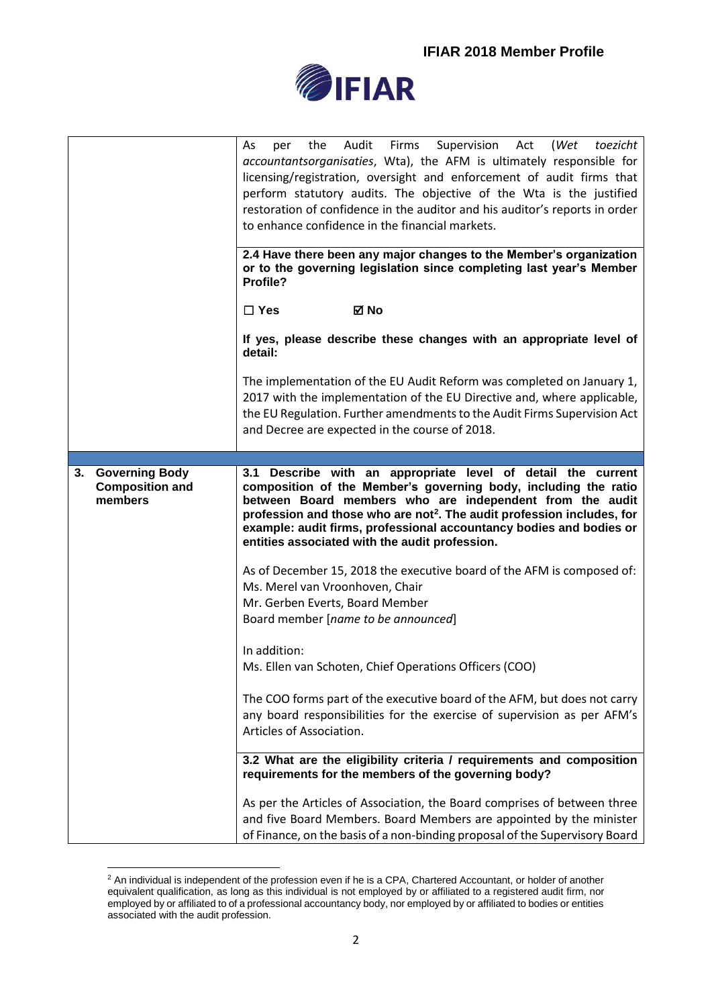

|                                                                  | Supervision Act<br>the<br>Audit Firms<br>(Wet toezicht<br>As<br>per<br>accountantsorganisaties, Wta), the AFM is ultimately responsible for<br>licensing/registration, oversight and enforcement of audit firms that<br>perform statutory audits. The objective of the Wta is the justified<br>restoration of confidence in the auditor and his auditor's reports in order<br>to enhance confidence in the financial markets.<br>2.4 Have there been any major changes to the Member's organization<br>or to the governing legislation since completing last year's Member<br>Profile? |
|------------------------------------------------------------------|----------------------------------------------------------------------------------------------------------------------------------------------------------------------------------------------------------------------------------------------------------------------------------------------------------------------------------------------------------------------------------------------------------------------------------------------------------------------------------------------------------------------------------------------------------------------------------------|
|                                                                  | ⊠ No<br>$\Box$ Yes                                                                                                                                                                                                                                                                                                                                                                                                                                                                                                                                                                     |
|                                                                  | If yes, please describe these changes with an appropriate level of<br>detail:                                                                                                                                                                                                                                                                                                                                                                                                                                                                                                          |
|                                                                  | The implementation of the EU Audit Reform was completed on January 1,<br>2017 with the implementation of the EU Directive and, where applicable,<br>the EU Regulation. Further amendments to the Audit Firms Supervision Act<br>and Decree are expected in the course of 2018.                                                                                                                                                                                                                                                                                                         |
|                                                                  |                                                                                                                                                                                                                                                                                                                                                                                                                                                                                                                                                                                        |
| <b>Governing Body</b><br>3.<br><b>Composition and</b><br>members | 3.1 Describe with an appropriate level of detail the current<br>composition of the Member's governing body, including the ratio<br>between Board members who are independent from the audit<br>profession and those who are not <sup>2</sup> . The audit profession includes, for<br>example: audit firms, professional accountancy bodies and bodies or<br>entities associated with the audit profession.                                                                                                                                                                             |
|                                                                  | As of December 15, 2018 the executive board of the AFM is composed of:<br>Ms. Merel van Vroonhoven, Chair<br>Mr. Gerben Everts, Board Member<br>Board member [name to be announced]                                                                                                                                                                                                                                                                                                                                                                                                    |
|                                                                  | In addition:<br>Ms. Ellen van Schoten, Chief Operations Officers (COO)                                                                                                                                                                                                                                                                                                                                                                                                                                                                                                                 |
|                                                                  | The COO forms part of the executive board of the AFM, but does not carry<br>any board responsibilities for the exercise of supervision as per AFM's<br>Articles of Association.                                                                                                                                                                                                                                                                                                                                                                                                        |
|                                                                  | 3.2 What are the eligibility criteria / requirements and composition<br>requirements for the members of the governing body?                                                                                                                                                                                                                                                                                                                                                                                                                                                            |
|                                                                  | As per the Articles of Association, the Board comprises of between three<br>and five Board Members. Board Members are appointed by the minister<br>of Finance, on the basis of a non-binding proposal of the Supervisory Board                                                                                                                                                                                                                                                                                                                                                         |

<sup>&</sup>lt;u>.</u>  $2$  An individual is independent of the profession even if he is a CPA, Chartered Accountant, or holder of another equivalent qualification, as long as this individual is not employed by or affiliated to a registered audit firm, nor employed by or affiliated to of a professional accountancy body, nor employed by or affiliated to bodies or entities associated with the audit profession.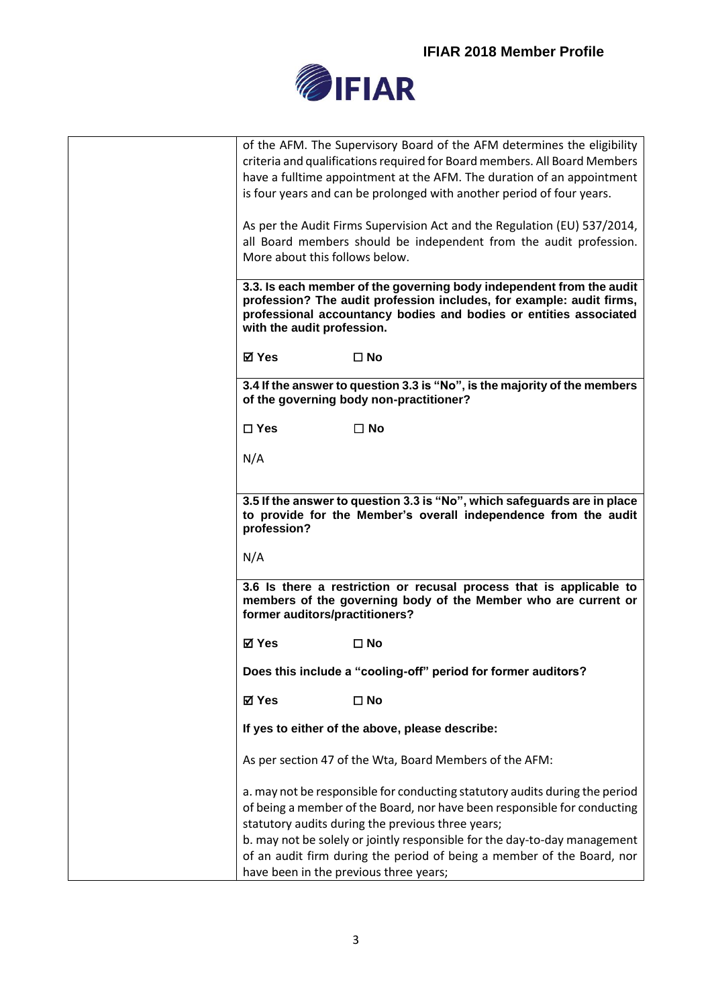

|                                        | of the AFM. The Supervisory Board of the AFM determines the eligibility                                                               |
|----------------------------------------|---------------------------------------------------------------------------------------------------------------------------------------|
|                                        | criteria and qualifications required for Board members. All Board Members                                                             |
|                                        | have a fulltime appointment at the AFM. The duration of an appointment                                                                |
|                                        | is four years and can be prolonged with another period of four years.                                                                 |
|                                        | As per the Audit Firms Supervision Act and the Regulation (EU) 537/2014,                                                              |
|                                        | all Board members should be independent from the audit profession.                                                                    |
| More about this follows below.         |                                                                                                                                       |
|                                        | 3.3. Is each member of the governing body independent from the audit                                                                  |
|                                        | profession? The audit profession includes, for example: audit firms,                                                                  |
|                                        | professional accountancy bodies and bodies or entities associated                                                                     |
| with the audit profession.             |                                                                                                                                       |
| <b>⊠</b> Yes                           | $\square$ No                                                                                                                          |
|                                        | 3.4 If the answer to question 3.3 is "No", is the majority of the members<br>of the governing body non-practitioner?                  |
| $\Box$ Yes                             | $\square$ No                                                                                                                          |
| N/A                                    |                                                                                                                                       |
|                                        |                                                                                                                                       |
|                                        | 3.5 If the answer to question 3.3 is "No", which safeguards are in place                                                              |
| profession?                            | to provide for the Member's overall independence from the audit                                                                       |
| N/A                                    |                                                                                                                                       |
| former auditors/practitioners?         | 3.6 Is there a restriction or recusal process that is applicable to<br>members of the governing body of the Member who are current or |
| ⊠ Yes                                  | $\square$ No                                                                                                                          |
|                                        | Does this include a "cooling-off" period for former auditors?                                                                         |
| ⊠ Yes                                  | $\square$ No                                                                                                                          |
|                                        | If yes to either of the above, please describe:                                                                                       |
|                                        | As per section 47 of the Wta, Board Members of the AFM:                                                                               |
|                                        | a. may not be responsible for conducting statutory audits during the period                                                           |
|                                        | of being a member of the Board, nor have been responsible for conducting                                                              |
|                                        | statutory audits during the previous three years;                                                                                     |
|                                        | b. may not be solely or jointly responsible for the day-to-day management                                                             |
|                                        | of an audit firm during the period of being a member of the Board, nor                                                                |
| have been in the previous three years; |                                                                                                                                       |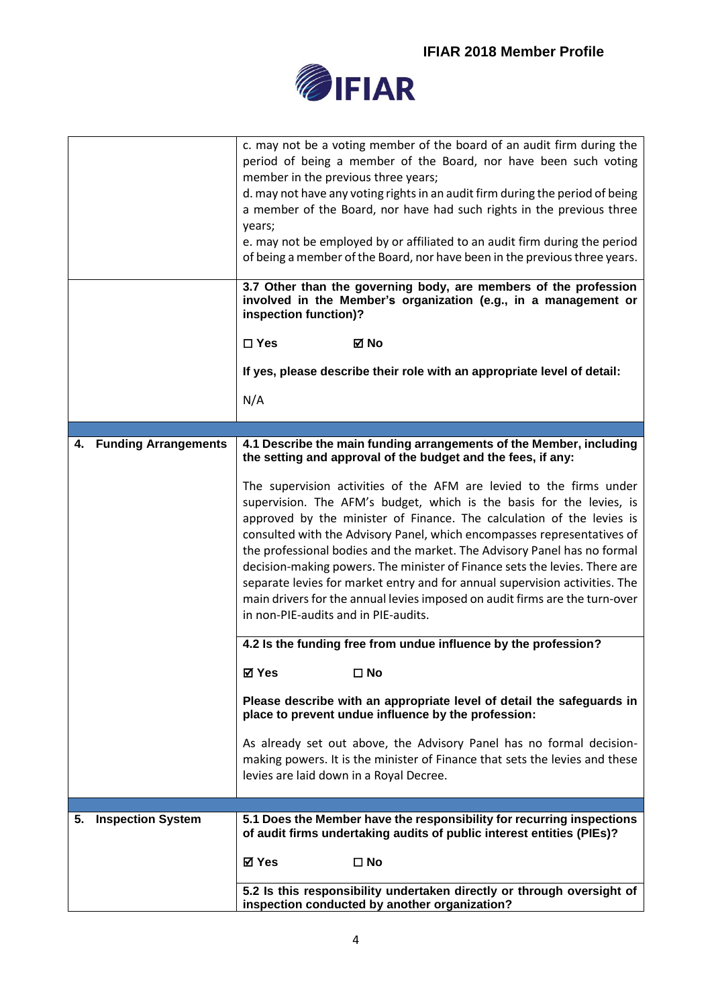

|    |                          | c. may not be a voting member of the board of an audit firm during the<br>period of being a member of the Board, nor have been such voting<br>member in the previous three years;<br>d. may not have any voting rights in an audit firm during the period of being<br>a member of the Board, nor have had such rights in the previous three<br>years;<br>e. may not be employed by or affiliated to an audit firm during the period                                                                                                                                                                                                                             |
|----|--------------------------|-----------------------------------------------------------------------------------------------------------------------------------------------------------------------------------------------------------------------------------------------------------------------------------------------------------------------------------------------------------------------------------------------------------------------------------------------------------------------------------------------------------------------------------------------------------------------------------------------------------------------------------------------------------------|
|    |                          | of being a member of the Board, nor have been in the previous three years.                                                                                                                                                                                                                                                                                                                                                                                                                                                                                                                                                                                      |
|    |                          | 3.7 Other than the governing body, are members of the profession<br>involved in the Member's organization (e.g., in a management or<br>inspection function)?                                                                                                                                                                                                                                                                                                                                                                                                                                                                                                    |
|    |                          | $\square$ Yes<br>⊠ No                                                                                                                                                                                                                                                                                                                                                                                                                                                                                                                                                                                                                                           |
|    |                          | If yes, please describe their role with an appropriate level of detail:                                                                                                                                                                                                                                                                                                                                                                                                                                                                                                                                                                                         |
|    |                          | N/A                                                                                                                                                                                                                                                                                                                                                                                                                                                                                                                                                                                                                                                             |
|    |                          |                                                                                                                                                                                                                                                                                                                                                                                                                                                                                                                                                                                                                                                                 |
|    | 4. Funding Arrangements  | 4.1 Describe the main funding arrangements of the Member, including<br>the setting and approval of the budget and the fees, if any:                                                                                                                                                                                                                                                                                                                                                                                                                                                                                                                             |
|    |                          | The supervision activities of the AFM are levied to the firms under<br>supervision. The AFM's budget, which is the basis for the levies, is<br>approved by the minister of Finance. The calculation of the levies is<br>consulted with the Advisory Panel, which encompasses representatives of<br>the professional bodies and the market. The Advisory Panel has no formal<br>decision-making powers. The minister of Finance sets the levies. There are<br>separate levies for market entry and for annual supervision activities. The<br>main drivers for the annual levies imposed on audit firms are the turn-over<br>in non-PIE-audits and in PIE-audits. |
|    |                          | 4.2 Is the funding free from undue influence by the profession?                                                                                                                                                                                                                                                                                                                                                                                                                                                                                                                                                                                                 |
|    |                          | <b>⊠</b> Yes<br>$\square$ No                                                                                                                                                                                                                                                                                                                                                                                                                                                                                                                                                                                                                                    |
|    |                          | Please describe with an appropriate level of detail the safeguards in<br>place to prevent undue influence by the profession:                                                                                                                                                                                                                                                                                                                                                                                                                                                                                                                                    |
|    |                          | As already set out above, the Advisory Panel has no formal decision-<br>making powers. It is the minister of Finance that sets the levies and these<br>levies are laid down in a Royal Decree.                                                                                                                                                                                                                                                                                                                                                                                                                                                                  |
|    |                          |                                                                                                                                                                                                                                                                                                                                                                                                                                                                                                                                                                                                                                                                 |
| 5. | <b>Inspection System</b> | 5.1 Does the Member have the responsibility for recurring inspections<br>of audit firms undertaking audits of public interest entities (PIEs)?                                                                                                                                                                                                                                                                                                                                                                                                                                                                                                                  |
|    |                          | ⊠ Yes<br>$\square$ No                                                                                                                                                                                                                                                                                                                                                                                                                                                                                                                                                                                                                                           |
|    |                          | 5.2 Is this responsibility undertaken directly or through oversight of<br>inspection conducted by another organization?                                                                                                                                                                                                                                                                                                                                                                                                                                                                                                                                         |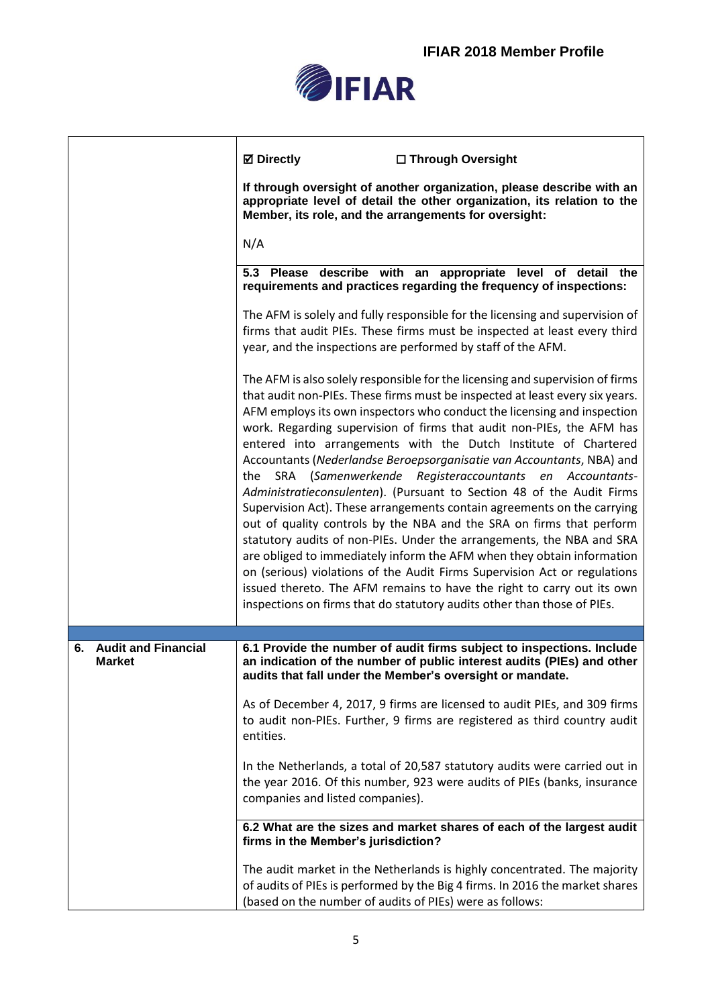

|                                  | <b>⊠</b> Directly<br>□ Through Oversight                                                                                                                                                                                                                                                                                                                                                                                                                                                                                                                                                                                                                                                                                                                                                                                                                                                                                                                                                                                                                                                                                                     |
|----------------------------------|----------------------------------------------------------------------------------------------------------------------------------------------------------------------------------------------------------------------------------------------------------------------------------------------------------------------------------------------------------------------------------------------------------------------------------------------------------------------------------------------------------------------------------------------------------------------------------------------------------------------------------------------------------------------------------------------------------------------------------------------------------------------------------------------------------------------------------------------------------------------------------------------------------------------------------------------------------------------------------------------------------------------------------------------------------------------------------------------------------------------------------------------|
|                                  | If through oversight of another organization, please describe with an<br>appropriate level of detail the other organization, its relation to the<br>Member, its role, and the arrangements for oversight:                                                                                                                                                                                                                                                                                                                                                                                                                                                                                                                                                                                                                                                                                                                                                                                                                                                                                                                                    |
|                                  | N/A                                                                                                                                                                                                                                                                                                                                                                                                                                                                                                                                                                                                                                                                                                                                                                                                                                                                                                                                                                                                                                                                                                                                          |
|                                  | 5.3 Please describe with an appropriate level of detail the<br>requirements and practices regarding the frequency of inspections:                                                                                                                                                                                                                                                                                                                                                                                                                                                                                                                                                                                                                                                                                                                                                                                                                                                                                                                                                                                                            |
|                                  | The AFM is solely and fully responsible for the licensing and supervision of<br>firms that audit PIEs. These firms must be inspected at least every third<br>year, and the inspections are performed by staff of the AFM.                                                                                                                                                                                                                                                                                                                                                                                                                                                                                                                                                                                                                                                                                                                                                                                                                                                                                                                    |
|                                  | The AFM is also solely responsible for the licensing and supervision of firms<br>that audit non-PIEs. These firms must be inspected at least every six years.<br>AFM employs its own inspectors who conduct the licensing and inspection<br>work. Regarding supervision of firms that audit non-PIEs, the AFM has<br>entered into arrangements with the Dutch Institute of Chartered<br>Accountants (Nederlandse Beroepsorganisatie van Accountants, NBA) and<br>the SRA (Samenwerkende Registeraccountants en Accountants-<br>Administratieconsulenten). (Pursuant to Section 48 of the Audit Firms<br>Supervision Act). These arrangements contain agreements on the carrying<br>out of quality controls by the NBA and the SRA on firms that perform<br>statutory audits of non-PIEs. Under the arrangements, the NBA and SRA<br>are obliged to immediately inform the AFM when they obtain information<br>on (serious) violations of the Audit Firms Supervision Act or regulations<br>issued thereto. The AFM remains to have the right to carry out its own<br>inspections on firms that do statutory audits other than those of PIEs. |
| <b>Audit and Financial</b><br>6. | 6.1 Provide the number of audit firms subject to inspections. Include                                                                                                                                                                                                                                                                                                                                                                                                                                                                                                                                                                                                                                                                                                                                                                                                                                                                                                                                                                                                                                                                        |
| <b>Market</b>                    | an indication of the number of public interest audits (PIEs) and other<br>audits that fall under the Member's oversight or mandate.                                                                                                                                                                                                                                                                                                                                                                                                                                                                                                                                                                                                                                                                                                                                                                                                                                                                                                                                                                                                          |
|                                  | As of December 4, 2017, 9 firms are licensed to audit PIEs, and 309 firms<br>to audit non-PIEs. Further, 9 firms are registered as third country audit<br>entities.                                                                                                                                                                                                                                                                                                                                                                                                                                                                                                                                                                                                                                                                                                                                                                                                                                                                                                                                                                          |
|                                  | In the Netherlands, a total of 20,587 statutory audits were carried out in<br>the year 2016. Of this number, 923 were audits of PIEs (banks, insurance<br>companies and listed companies).                                                                                                                                                                                                                                                                                                                                                                                                                                                                                                                                                                                                                                                                                                                                                                                                                                                                                                                                                   |
|                                  | 6.2 What are the sizes and market shares of each of the largest audit<br>firms in the Member's jurisdiction?                                                                                                                                                                                                                                                                                                                                                                                                                                                                                                                                                                                                                                                                                                                                                                                                                                                                                                                                                                                                                                 |
|                                  | The audit market in the Netherlands is highly concentrated. The majority<br>of audits of PIEs is performed by the Big 4 firms. In 2016 the market shares<br>(based on the number of audits of PIEs) were as follows:                                                                                                                                                                                                                                                                                                                                                                                                                                                                                                                                                                                                                                                                                                                                                                                                                                                                                                                         |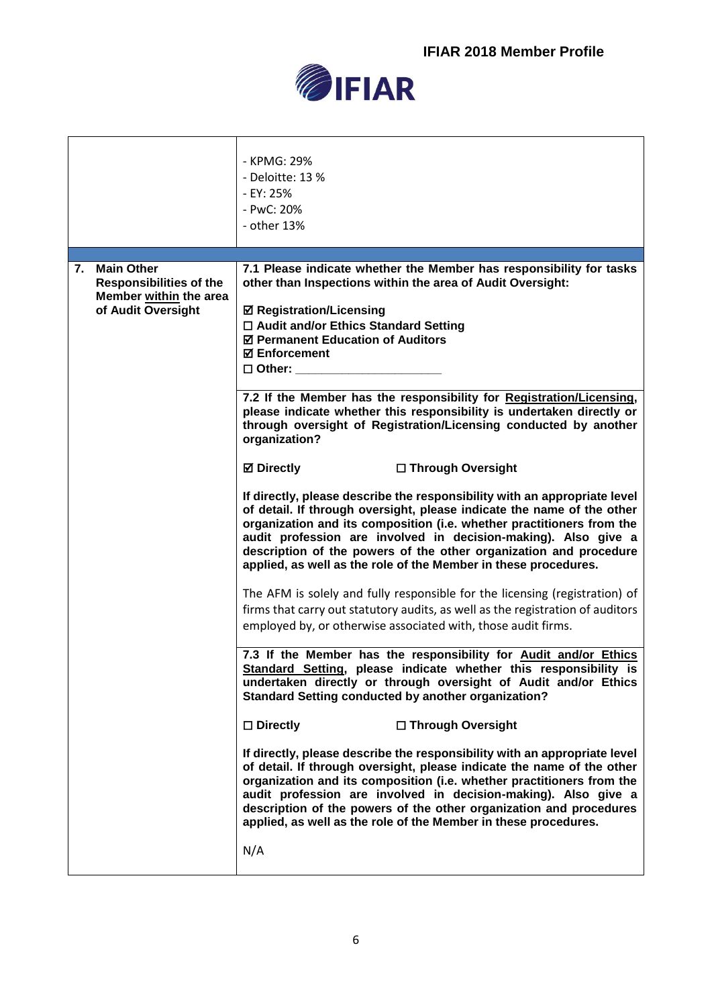

|                                                                                                           | - KPMG: 29%<br>- Deloitte: 13 %<br>- EY: 25%<br>- PwC: 20%<br>- other 13%                                                                                                                                                                                                                                                                                                                                                                                                                                                                                                                                                                                                                                                                                                                                                                                                                                                                                                                                                                                                                                                                                                                                                                                                                                                                                                                                                                                                                                                                                                                                                                                                                                                                                                                                                                                                                                                                                                                                                                  |
|-----------------------------------------------------------------------------------------------------------|--------------------------------------------------------------------------------------------------------------------------------------------------------------------------------------------------------------------------------------------------------------------------------------------------------------------------------------------------------------------------------------------------------------------------------------------------------------------------------------------------------------------------------------------------------------------------------------------------------------------------------------------------------------------------------------------------------------------------------------------------------------------------------------------------------------------------------------------------------------------------------------------------------------------------------------------------------------------------------------------------------------------------------------------------------------------------------------------------------------------------------------------------------------------------------------------------------------------------------------------------------------------------------------------------------------------------------------------------------------------------------------------------------------------------------------------------------------------------------------------------------------------------------------------------------------------------------------------------------------------------------------------------------------------------------------------------------------------------------------------------------------------------------------------------------------------------------------------------------------------------------------------------------------------------------------------------------------------------------------------------------------------------------------------|
| <b>Main Other</b><br>7.<br><b>Responsibilities of the</b><br>Member within the area<br>of Audit Oversight | 7.1 Please indicate whether the Member has responsibility for tasks<br>other than Inspections within the area of Audit Oversight:<br><b>Ø Registration/Licensing</b><br>$\Box$ Audit and/or Ethics Standard Setting<br>☑ Permanent Education of Auditors<br><b>☑ Enforcement</b><br>$\square$ Other:<br>7.2 If the Member has the responsibility for Registration/Licensing,<br>please indicate whether this responsibility is undertaken directly or<br>through oversight of Registration/Licensing conducted by another<br>organization?<br><b>⊠</b> Directly<br>□ Through Oversight<br>If directly, please describe the responsibility with an appropriate level<br>of detail. If through oversight, please indicate the name of the other<br>organization and its composition (i.e. whether practitioners from the<br>audit profession are involved in decision-making). Also give a<br>description of the powers of the other organization and procedure<br>applied, as well as the role of the Member in these procedures.<br>The AFM is solely and fully responsible for the licensing (registration) of<br>firms that carry out statutory audits, as well as the registration of auditors<br>employed by, or otherwise associated with, those audit firms.<br>7.3 If the Member has the responsibility for Audit and/or Ethics<br>Standard Setting, please indicate whether this responsibility is<br>undertaken directly or through oversight of Audit and/or Ethics<br><b>Standard Setting conducted by another organization?</b><br>□ Through Oversight<br>$\square$ Directly<br>If directly, please describe the responsibility with an appropriate level<br>of detail. If through oversight, please indicate the name of the other<br>organization and its composition (i.e. whether practitioners from the<br>audit profession are involved in decision-making). Also give a<br>description of the powers of the other organization and procedures<br>applied, as well as the role of the Member in these procedures.<br>N/A |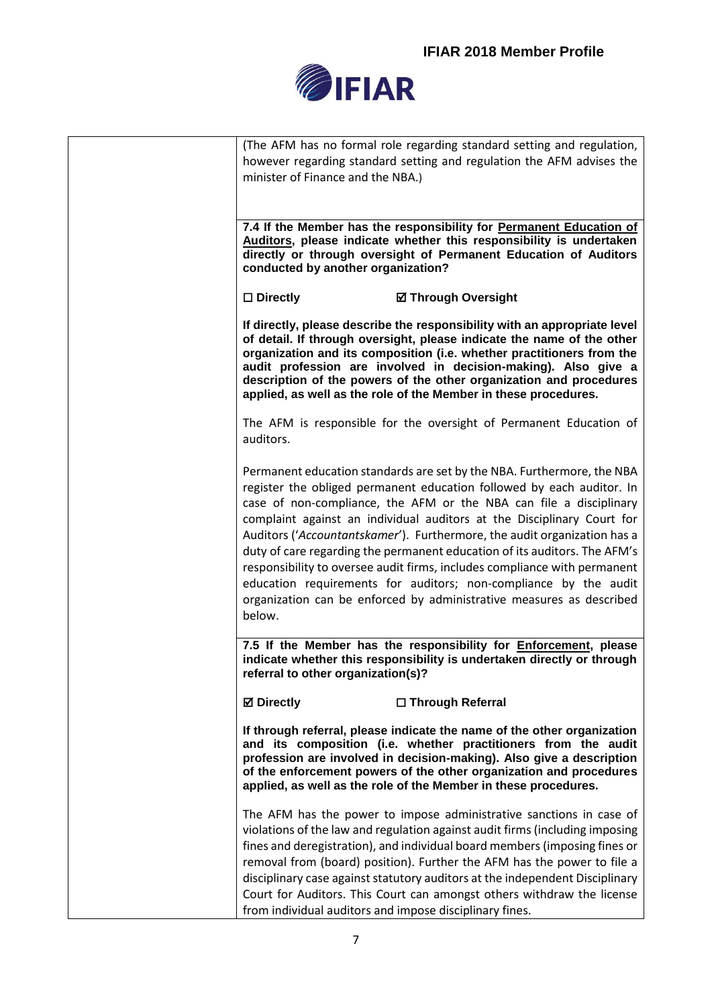

| (The AFM has no formal role regarding standard setting and regulation,<br>however regarding standard setting and regulation the AFM advises the<br>minister of Finance and the NBA.)                                                                                                                                                                                                                                                                                                                                                                                                                                                                                                        |
|---------------------------------------------------------------------------------------------------------------------------------------------------------------------------------------------------------------------------------------------------------------------------------------------------------------------------------------------------------------------------------------------------------------------------------------------------------------------------------------------------------------------------------------------------------------------------------------------------------------------------------------------------------------------------------------------|
| 7.4 If the Member has the responsibility for Permanent Education of<br>Auditors, please indicate whether this responsibility is undertaken<br>directly or through oversight of Permanent Education of Auditors<br>conducted by another organization?                                                                                                                                                                                                                                                                                                                                                                                                                                        |
| $\square$ Directly<br><b>Ø Through Oversight</b>                                                                                                                                                                                                                                                                                                                                                                                                                                                                                                                                                                                                                                            |
| If directly, please describe the responsibility with an appropriate level<br>of detail. If through oversight, please indicate the name of the other<br>organization and its composition (i.e. whether practitioners from the<br>audit profession are involved in decision-making). Also give a<br>description of the powers of the other organization and procedures<br>applied, as well as the role of the Member in these procedures.                                                                                                                                                                                                                                                     |
| The AFM is responsible for the oversight of Permanent Education of<br>auditors.                                                                                                                                                                                                                                                                                                                                                                                                                                                                                                                                                                                                             |
| Permanent education standards are set by the NBA. Furthermore, the NBA<br>register the obliged permanent education followed by each auditor. In<br>case of non-compliance, the AFM or the NBA can file a disciplinary<br>complaint against an individual auditors at the Disciplinary Court for<br>Auditors ('Accountantskamer'). Furthermore, the audit organization has a<br>duty of care regarding the permanent education of its auditors. The AFM's<br>responsibility to oversee audit firms, includes compliance with permanent<br>education requirements for auditors; non-compliance by the audit<br>organization can be enforced by administrative measures as described<br>below. |
| 7.5 If the Member has the responsibility for <b>Enforcement</b> , please<br>indicate whether this responsibility is undertaken directly or through<br>referral to other organization(s)?                                                                                                                                                                                                                                                                                                                                                                                                                                                                                                    |
| <b>Ø</b> Directly<br>□ Through Referral                                                                                                                                                                                                                                                                                                                                                                                                                                                                                                                                                                                                                                                     |
| If through referral, please indicate the name of the other organization<br>and its composition (i.e. whether practitioners from the audit<br>profession are involved in decision-making). Also give a description<br>of the enforcement powers of the other organization and procedures<br>applied, as well as the role of the Member in these procedures.                                                                                                                                                                                                                                                                                                                                  |
| The AFM has the power to impose administrative sanctions in case of<br>violations of the law and regulation against audit firms (including imposing<br>fines and deregistration), and individual board members (imposing fines or<br>removal from (board) position). Further the AFM has the power to file a<br>disciplinary case against statutory auditors at the independent Disciplinary<br>Court for Auditors. This Court can amongst others withdraw the license<br>from individual auditors and impose disciplinary fines.                                                                                                                                                           |